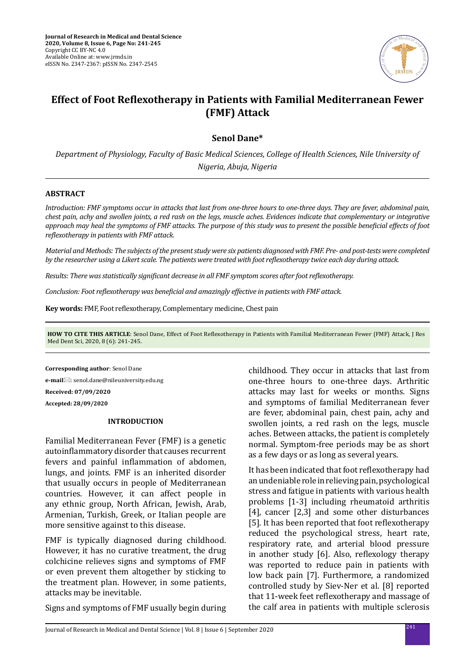

# **Effect of Foot Reflexotherapy in Patients with Familial Mediterranean Fewer (FMF) Attack**

**Senol Dane\***

*Department of Physiology, Faculty of Basic Medical Sciences, College of Health Sciences, Nile University of Nigeria, Abuja, Nigeria*

#### **ABSTRACT**

*Introduction: FMF symptoms occur in attacks that last from one-three hours to one-three days. They are fever, abdominal pain, chest pain, achy and swollen joints, a red rash on the legs, muscle aches. Evidences indicate that complementary or integrative approach may heal the symptoms of FMF attacks. The purpose of this study was to present the possible beneficial effects of foot reflexotherapy in patients with FMF attack.* 

*Material and Methods: The subjects of the present study were six patients diagnosed with FMF. Pre- and post-tests were completed by the researcher using a Likert scale. The patients were treated with foot reflexotherapy twice each day during attack.* 

*Results: There was statistically significant decrease in all FMF symptom scores after foot reflexotherapy.* 

*Conclusion: Foot reflexotherapy was beneficial and amazingly effective in patients with FMF attack.*

**Key words:** FMF, Foot reflexotherapy, Complementary medicine, Chest pain

**HOW TO CITE THIS ARTICLE**: Senol Dane, Effect of Foot Reflexotherapy in Patients with Familial Mediterranean Fewer (FMF) Attack, J Res Med Dent Sci, 2020, 8 (6): 241-245.

**Corresponding author**: Senol Dane

**e-mail**: senol.dane@nileuniversity.edu.ng

**Received: 07/09/2020**

**Accepted: 28/09/2020**

# **INTRODUCTION**

Familial Mediterranean Fever (FMF) is a genetic autoinflammatory disorder that causes recurrent fevers and painful inflammation of abdomen, lungs, and joints. FMF is an inherited disorder that usually occurs in people of Mediterranean countries. However, it can affect people in any ethnic group, North African, Jewish, Arab, Armenian, Turkish, Greek, or Italian people are more sensitive against to this disease.

FMF is typically diagnosed during childhood. However, it has no curative treatment, the drug colchicine relieves signs and symptoms of FMF or even prevent them altogether by sticking to the treatment plan. However, in some patients, attacks may be inevitable.

Signs and symptoms of FMF usually begin during

childhood. They occur in attacks that last from one-three hours to one-three days. Arthritic attacks may last for weeks or months. Signs and symptoms of familial Mediterranean fever are fever, abdominal pain, chest pain, achy and swollen joints, a red rash on the legs, muscle aches. Between attacks, the patient is completely normal. Symptom-free periods may be as short as a few days or as long as several years.

It has been indicated that foot reflexotherapy had an undeniable role in relieving pain, psychological stress and fatigue in patients with various health problems [1-3] including rheumatoid arthritis [4], cancer [2,3] and some other disturbances [5]. It has been reported that foot reflexotherapy reduced the psychological stress, heart rate, respiratory rate, and arterial blood pressure in another study [6]. Also, reflexology therapy was reported to reduce pain in patients with low back pain [7]. Furthermore, a randomized controlled study by Siev-Ner et al. [8] reported that 11-week feet reflexotherapy and massage of the calf area in patients with multiple sclerosis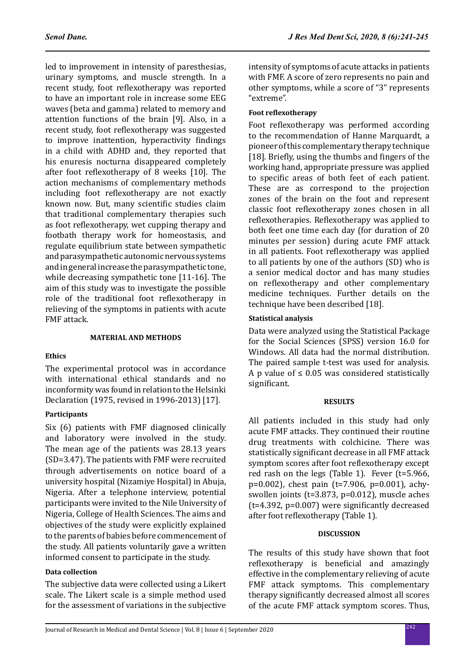led to improvement in intensity of paresthesias, urinary symptoms, and muscle strength. In a recent study, foot reflexotherapy was reported to have an important role in increase some EEG waves (beta and gamma) related to memory and attention functions of the brain [9]. Also, in a recent study, foot reflexotherapy was suggested to improve inattention, hyperactivity findings in a child with ADHD and, they reported that his enuresis nocturna disappeared completely after foot reflexotherapy of 8 weeks [10]. The action mechanisms of complementary methods including foot reflexotherapy are not exactly known now. But, many scientific studies claim that traditional complementary therapies such as foot reflexotherapy, wet cupping therapy and footbath therapy work for homeostasis, and regulate equilibrium state between sympathetic and parasympathetic autonomic nervous systems and in general increase the parasympathetic tone, while decreasing sympathetic tone [11-16]. The aim of this study was to investigate the possible role of the traditional foot reflexotherapy in relieving of the symptoms in patients with acute FMF attack.

# **MATERIAL AND METHODS**

# **Ethics**

The experimental protocol was in accordance with international ethical standards and no inconformity was found in relation to the Helsinki Declaration (1975, revised in 1996-2013) [17].

# **Participants**

Six (6) patients with FMF diagnosed clinically and laboratory were involved in the study. The mean age of the patients was 28.13 years (SD=3.47). The patients with FMF were recruited through advertisements on notice board of a university hospital (Nizamiye Hospital) in Abuja, Nigeria. After a telephone interview, potential participants were invited to the Nile University of Nigeria, College of Health Sciences. The aims and objectives of the study were explicitly explained to the parents of babies before commencement of the study. All patients voluntarily gave a written informed consent to participate in the study.

# **Data collection**

The subjective data were collected using a Likert scale. The Likert scale is a simple method used for the assessment of variations in the subjective intensity of symptoms of acute attacks in patients with FMF. A score of zero represents no pain and other symptoms, while a score of "3" represents "extreme".

#### **Foot reflexotherapy**

Foot reflexotherapy was performed according to the recommendation of Hanne Marquardt, a pioneer of this complementary therapy technique [18]. Briefly, using the thumbs and fingers of the working hand, appropriate pressure was applied to specific areas of both feet of each patient. These are as correspond to the projection zones of the brain on the foot and represent classic foot reflexotherapy zones chosen in all reflexotherapies. Reflexotherapy was applied to both feet one time each day (for duration of 20 minutes per session) during acute FMF attack in all patients. Foot reflexotherapy was applied to all patients by one of the authors (SD) who is a senior medical doctor and has many studies on reflexotherapy and other complementary medicine techniques. Further details on the technique have been described [18].

#### **Statistical analysis**

Data were analyzed using the Statistical Package for the Social Sciences (SPSS) version 16.0 for Windows. All data had the normal distribution. The paired sample t-test was used for analysis. A p value of  $\leq$  0.05 was considered statistically significant.

#### **RESULTS**

All patients included in this study had only acute FMF attacks. They continued their routine drug treatments with colchicine. There was statistically significant decrease in all FMF attack symptom scores after foot reflexotherapy except red rash on the legs (Table 1). Fever (t=5.966, p=0.002), chest pain (t=7.906, p=0.001), achyswollen joints (t=3.873, p=0.012), muscle aches (t=4.392, p=0.007) were significantly decreased after foot reflexotherapy (Table 1).

#### **DISCUSSION**

The results of this study have shown that foot reflexotherapy is beneficial and amazingly effective in the complementary relieving of acute FMF attack symptoms. This complementary therapy significantly decreased almost all scores of the acute FMF attack symptom scores. Thus,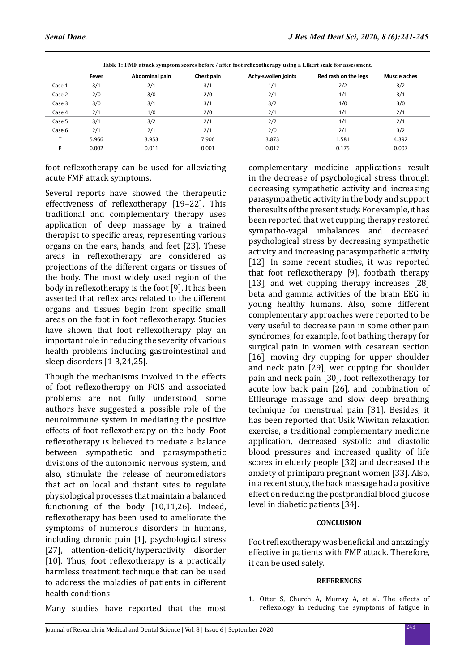|        | Fever | Abdominal pain | Chest pain | Achy-swollen joints | Red rash on the legs | Muscle aches |
|--------|-------|----------------|------------|---------------------|----------------------|--------------|
| Case 1 | 3/1   | 2/1            | 3/1        | 1/1                 | 2/2                  | 3/2          |
| Case 2 | 2/0   | 3/0            | 2/0        | 2/1                 | 1/1                  | 3/1          |
| Case 3 | 3/0   | 3/1            | 3/1        | 3/2                 | 1/0                  | 3/0          |
| Case 4 | 2/1   | 1/0            | 2/0        | 2/1                 | 1/1                  | 2/1          |
| Case 5 | 3/1   | 3/2            | 2/1        | 2/2                 | 1/1                  | 2/1          |
| Case 6 | 2/1   | 2/1            | 2/1        | 2/0                 | 2/1                  | 3/2          |
|        | 5.966 | 3.953          | 7.906      | 3.873               | 1.581                | 4.392        |
| D      | 0.002 | 0.011          | 0.001      | 0.012               | 0.175                | 0.007        |
|        |       |                |            |                     |                      |              |

**Table 1: FMF attack symptom scores before / after foot reflexotherapy using a Likert scale for assessment.**

foot reflexotherapy can be used for alleviating acute FMF attack symptoms.

Several reports have showed the therapeutic effectiveness of reflexotherapy [19–22]. This traditional and complementary therapy uses application of deep massage by a trained therapist to specific areas, representing various organs on the ears, hands, and feet [23]. These areas in reflexotherapy are considered as projections of the different organs or tissues of the body. The most widely used region of the body in reflexotherapy is the foot [9]. It has been asserted that reflex arcs related to the different organs and tissues begin from specific small areas on the foot in foot reflexotherapy. Studies have shown that foot reflexotherapy play an important role in reducing the severity of various health problems including gastrointestinal and sleep disorders [1-3,24,25].

Though the mechanisms involved in the effects of foot reflexotherapy on FCIS and associated problems are not fully understood, some authors have suggested a possible role of the neuroimmune system in mediating the positive effects of foot reflexotherapy on the body. Foot reflexotherapy is believed to mediate a balance between sympathetic and parasympathetic divisions of the autonomic nervous system, and also, stimulate the release of neuromediators that act on local and distant sites to regulate physiological processes that maintain a balanced functioning of the body [10,11,26]. Indeed, reflexotherapy has been used to ameliorate the symptoms of numerous disorders in humans, including chronic pain [1], psychological stress [27], attention-deficit/hyperactivity disorder [10]. Thus, foot reflexotherapy is a practically harmless treatment technique that can be used to address the maladies of patients in different health conditions.

Many studies have reported that the most

complementary medicine applications result in the decrease of psychological stress through decreasing sympathetic activity and increasing parasympathetic activity in the body and support the results of the present study. For example, it has been reported that wet cupping therapy restored sympatho-vagal imbalances and decreased psychological stress by decreasing sympathetic activity and increasing parasympathetic activity [12]. In some recent studies, it was reported that foot reflexotherapy [9], footbath therapy [13], and wet cupping therapy increases [28] beta and gamma activities of the brain EEG in young healthy humans. Also, some different complementary approaches were reported to be very useful to decrease pain in some other pain syndromes, for example, foot bathing therapy for surgical pain in women with cesarean section [16], moving dry cupping for upper shoulder and neck pain [29], wet cupping for shoulder pain and neck pain [30], foot reflexotherapy for acute low back pain [26], and combination of Effleurage massage and slow deep breathing technique for menstrual pain [31]. Besides, it has been reported that Usik Wiwitan relaxation exercise, a traditional complementary medicine application, decreased systolic and diastolic blood pressures and increased quality of life scores in elderly people [32] and decreased the anxiety of primipara pregnant women [33]. Also, in a recent study, the back massage had a positive effect on reducing the postprandial blood glucose level in diabetic patients [34].

# **CONCLUSION**

Foot reflexotherapy was beneficial and amazingly effective in patients with FMF attack. Therefore, it can be used safely.

# **REFERENCES**

1. Otter S, Church A, Murray A, et al. The effects of reflexology in reducing the symptoms of fatigue in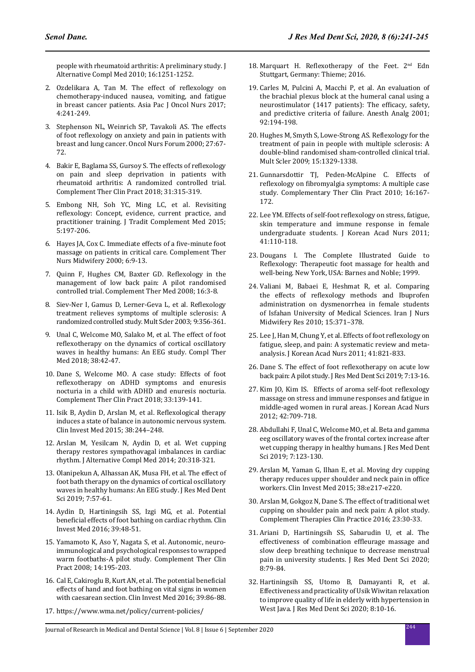people with rheumatoid arthritis: A preliminary study. J Alternative Compl Med 2010; 16:1251-1252.

- 2. Ozdelikara A, Tan M. The effect of reflexology on chemotherapy-induced nausea, vomiting, and fatigue in breast cancer patients. Asia Pac J Oncol Nurs 2017; 4:241-249.
- 3. Stephenson NL, Weinrich SP, Tavakoli AS. The effects of foot reflexology on anxiety and pain in patients with breast and lung cancer. Oncol Nurs Forum 2000; 27:67- 72.
- 4. Bakir E, Baglama SS, Gursoy S. The effects of reflexology on pain and sleep deprivation in patients with rheumatoid arthritis: A randomized controlled trial. Complement Ther Clin Pract 2018; 31:315-319.
- 5. Embong NH, Soh YC, Ming LC, et al. Revisiting reflexology: Concept, evidence, current practice, and practitioner training. J Tradit Complement Med 2015; 5:197-206.
- 6. Hayes JA, Cox C. Immediate effects of a five-minute foot massage on patients in critical care. Complement Ther Nurs Midwifery 2000; 6:9-13.
- 7. Quinn F, Hughes CM, Baxter GD. Reflexology in the management of low back pain: A pilot randomised controlled trial. Complement Ther Med 2008; 16:3-8.
- 8. Siev-Ner I, Gamus D, Lerner-Geva L, et al. Reflexology treatment relieves symptoms of multiple sclerosis: A randomized controlled study. Mult Scler 2003; 9:356-361.
- 9. Unal C, Welcome MO, Salako M, et al. The effect of foot reflexotherapy on the dynamics of cortical oscillatory waves in healthy humans: An EEG study. Compl Ther Med 2018; 38:42-47.
- 10. Dane S, Welcome MO. A case study: Effects of foot reflexotherapy on ADHD symptoms and enuresis nocturia in a child with ADHD and enuresis nocturia. Complement Ther Clin Pract 2018; 33:139-141.
- 11. Isik B, Aydin D, Arslan M, et al. Reflexological therapy induces a state of balance in autonomic nervous system. Clin Invest Med 2015; 38:244–248.
- 12. Arslan M, Yesilcam N, Aydin D, et al. Wet cupping therapy restores sympathovagal imbalances in cardiac rhythm. J Alternative Compl Med 2014; 20:318-321.
- 13. Olanipekun A, Alhassan AK, Musa FH, et al. The effect of foot bath therapy on the dynamics of cortical oscillatory waves in healthy humans: An EEG study. J Res Med Dent Sci 2019; 7:57-61.
- 14. Aydin D, Hartiningsih SS, Izgi MG, et al. Potential beneficial effects of foot bathing on cardiac rhythm. Clin Invest Med 2016; 39:48-51.
- 15. Yamamoto K, Aso Y, Nagata S, et al. Autonomic, neuroimmunological and psychological responses to wrapped warm footbaths-A pilot study. Complement Ther Clin Pract 2008; 14:195-203.
- 16. Cal E, Cakiroglu B, Kurt AN, et al. The potential beneficial effects of hand and foot bathing on vital signs in women with caesarean section. Clin Invest Med 2016; 39:86-88.
- 17. https://www.wma.net/policy/current-policies/
- 18. Marquart H. Reflexotherapy of the Feet.  $2<sup>nd</sup>$  Edn Stuttgart, Germany: Thieme; 2016.
- 19. Carles M, Pulcini A, Macchi P, et al. An evaluation of the brachial plexus block at the humeral canal using a neurostimulator (1417 patients): The efficacy, safety, and predictive criteria of failure. Anesth Analg 2001; 92:194-198.
- 20. Hughes M, Smyth S, Lowe-Strong AS. Reflexology for the treatment of pain in people with multiple sclerosis: A double-blind randomised sham-controlled clinical trial. Mult Scler 2009; 15:1329-1338.
- 21. Gunnarsdottir TJ, Peden-McAlpine C. Effects of reflexology on fibromyalgia symptoms: A multiple case study. Complementary Ther Clin Pract 2010; 16:167- 172.
- 22. Lee YM. Effects of self-foot reflexology on stress, fatigue, skin temperature and immune response in female undergraduate students. J Korean Acad Nurs 2011; 41:110-118.
- 23. Dougans I. The Complete Illustrated Guide to Reflexology: Therapeutic foot massage for health and well-being. New York, USA: Barnes and Noble; 1999.
- 24. Valiani M, Babaei E, Heshmat R, et al. Comparing the effects of reflexology methods and Ibuprofen administration on dysmenorrhea in female students of Isfahan University of Medical Sciences. Iran J Nurs Midwifery Res 2010; 15:371–378.
- 25. Lee J, Han M, Chung Y, et al. Effects of foot reflexology on fatigue, sleep, and pain: A systematic review and metaanalysis. J Korean Acad Nurs 2011; 41:821-833.
- 26. Dane S. The effect of foot reflexotherapy on acute low back pain: A pilot study. J Res Med Dent Sci 2019; 7:13-16.
- 27. Kim JO, Kim IS. Effects of aroma self-foot reflexology massage on stress and immune responses and fatigue in middle-aged women in rural areas. J Korean Acad Nurs 2012; 42:709-718.
- 28. Abdullahi F, Unal C, Welcome MO, et al. Beta and gamma eeg oscillatory waves of the frontal cortex increase after wet cupping therapy in healthy humans. J Res Med Dent Sci 2019; 7:123-130.
- 29. Arslan M, Yaman G, Ilhan E, et al. Moving dry cupping therapy reduces upper shoulder and neck pain in office workers. Clin Invest Med 2015; 38:e217-e220.
- 30. Arslan M, Gokgoz N, Dane S. The effect of traditional wet cupping on shoulder pain and neck pain: A pilot study. Complement Therapies Clin Practice 2016; 23:30-33.
- 31. Ariani D, Hartiningsih SS, Sabarudin U, et al. The effectiveness of combination effleurage massage and slow deep breathing technique to decrease menstrual pain in university students. J Res Med Dent Sci 2020; 8:79-84.
- 32. Hartiningsih SS, Utomo B, Damayanti R, et al. Effectiveness and practicality of Usik Wiwitan relaxation to improve quality of life in elderly with hypertension in West Java. J Res Med Dent Sci 2020; 8:10-16.